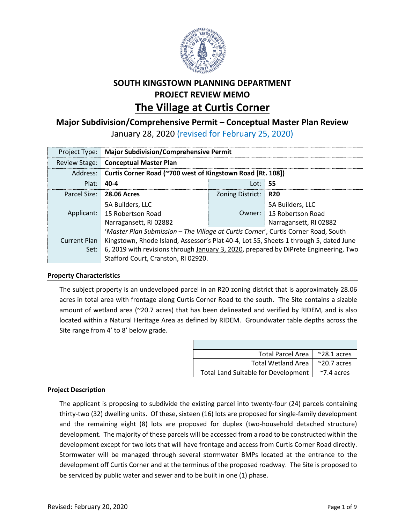

# **SOUTH KINGSTOWN PLANNING DEPARTMENT PROJECT REVIEW MEMO The Village at Curtis Corner**

## **Major Subdivision/Comprehensive Permit – Conceptual Master Plan Review**

January 28, 2020 (revised for February 25, 2020)

| Project Type:   Major Subdivision/Comprehensive Permit                                               |                      |                          |  |  |  |
|------------------------------------------------------------------------------------------------------|----------------------|--------------------------|--|--|--|
| Review Stage: Conceptual Master Plan                                                                 |                      |                          |  |  |  |
| Address: Curtis Corner Road (~700 west of Kingstown Road [Rt. 108])                                  |                      |                          |  |  |  |
| $Plat: 40-4$                                                                                         | Lot: $55$            |                          |  |  |  |
| Parcel Size: 28.06 Acres                                                                             | Zoning District: R20 |                          |  |  |  |
| 5A Builders, LLC                                                                                     |                      | 5A Builders. LLC         |  |  |  |
| Applicant: 15 Robertson Road                                                                         |                      | Owner: 15 Robertson Road |  |  |  |
| Narragansett, RI 02882                                                                               |                      | Narragansett, RI 02882   |  |  |  |
| 'Master Plan Submission - The Village at Curtis Corner', Curtis Corner Road, South                   |                      |                          |  |  |  |
| Current Plan   Kingstown, Rhode Island, Assessor's Plat 40-4, Lot 55, Sheets 1 through 5, dated June |                      |                          |  |  |  |
| Set:   6, 2019 with revisions through January 3, 2020, prepared by DiPrete Engineering, Two          |                      |                          |  |  |  |
| Stafford Court, Cranston, RI 02920.                                                                  |                      |                          |  |  |  |

## **Property Characteristics**

The subject property is an undeveloped parcel in an R20 zoning district that is approximately 28.06 acres in total area with frontage along Curtis Corner Road to the south. The Site contains a sizable amount of wetland area (~20.7 acres) that has been delineated and verified by RIDEM, and is also located within a Natural Heritage Area as defined by RIDEM. Groundwater table depths across the Site range from 4' to 8' below grade.

| <b>Total Parcel Area</b>                   | $^{\sim}$ 28.1 acres |
|--------------------------------------------|----------------------|
| <b>Total Wetland Area</b>                  | $^{\sim}$ 20.7 acres |
| <b>Total Land Suitable for Development</b> | $~\gamma$ 7.4 acres  |

## **Project Description**

The applicant is proposing to subdivide the existing parcel into twenty-four (24) parcels containing thirty-two (32) dwelling units. Of these, sixteen (16) lots are proposed for single-family development and the remaining eight (8) lots are proposed for duplex (two-household detached structure) development. The majority of these parcels will be accessed from a road to be constructed within the development except for two lots that will have frontage and access from Curtis Corner Road directly. Stormwater will be managed through several stormwater BMPs located at the entrance to the development off Curtis Corner and at the terminus of the proposed roadway. The Site is proposed to be serviced by public water and sewer and to be built in one (1) phase.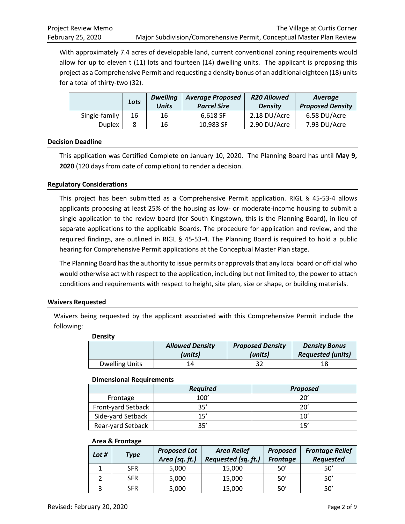With approximately 7.4 acres of developable land, current conventional zoning requirements would allow for up to eleven t (11) lots and fourteen (14) dwelling units. The applicant is proposing this project as a Comprehensive Permit and requesting a density bonus of an additional eighteen (18) units for a total of thirty-two (32).

|               | Lots | <b>Dwelling</b><br><b>Units</b> | <b>Average Proposed</b><br><b>Parcel Size</b> | <b>R20 Allowed</b><br><b>Density</b> | Average<br><b>Proposed Density</b> |
|---------------|------|---------------------------------|-----------------------------------------------|--------------------------------------|------------------------------------|
| Single-family | 16   | 16                              | 6.618 SF                                      | 2.18 DU/Acre                         | 6.58 DU/Acre                       |
| <b>Duplex</b> |      | 16                              | 10,983 SF                                     | 2.90 DU/Acre                         | 7.93 DU/Acre                       |

## **Decision Deadline**

This application was Certified Complete on January 10, 2020. The Planning Board has until **May 9, 2020** (120 days from date of completion) to render a decision.

## **Regulatory Considerations**

This project has been submitted as a Comprehensive Permit application. RIGL § 45-53-4 allows applicants proposing at least 25% of the housing as low- or moderate-income housing to submit a single application to the review board (for South Kingstown, this is the Planning Board), in lieu of separate applications to the applicable Boards. The procedure for application and review, and the required findings, are outlined in RIGL § 45-53-4. The Planning Board is required to hold a public hearing for Comprehensive Permit applications at the Conceptual Master Plan stage.

The Planning Board has the authority to issue permits or approvals that any local board or official who would otherwise act with respect to the application, including but not limited to, the power to attach conditions and requirements with respect to height, site plan, size or shape, or building materials.

#### **Waivers Requested**

Waivers being requested by the applicant associated with this Comprehensive Permit include the following:

| <b>Density</b>        |                                   |                                    |                                                  |  |  |  |
|-----------------------|-----------------------------------|------------------------------------|--------------------------------------------------|--|--|--|
|                       | <b>Allowed Density</b><br>(units) | <b>Proposed Density</b><br>(units) | <b>Density Bonus</b><br><b>Requested (units)</b> |  |  |  |
| <b>Dwelling Units</b> | 14                                |                                    | 18                                               |  |  |  |

#### **Dimensional Requirements**

|                    | <b>Required</b> | <b>Proposed</b> |
|--------------------|-----------------|-----------------|
| Frontage           | 100'            | 'חר             |
| Front-yard Setback | 35'             | 20'             |
| Side-yard Setback  | 1 ק'            | 10'             |
| Rear-yard Setback  | つに'             | 15'             |

#### **Area & Frontage**

| Lot $#$ | Type       | <b>Proposed Lot</b><br>Area (sq. ft.) | <b>Area Relief</b><br>Requested (sq. ft.) | <b>Proposed</b><br><b>Frontage</b> | <b>Frontage Relief</b><br><b>Requested</b> |
|---------|------------|---------------------------------------|-------------------------------------------|------------------------------------|--------------------------------------------|
|         | <b>SFR</b> | 5,000                                 | 15,000                                    | 50'                                | 50'                                        |
|         | <b>SFR</b> | 5,000                                 | 15,000                                    | 50'                                | 50'                                        |
|         | <b>SFR</b> | 5,000                                 | 15,000                                    | 50'                                | 50'                                        |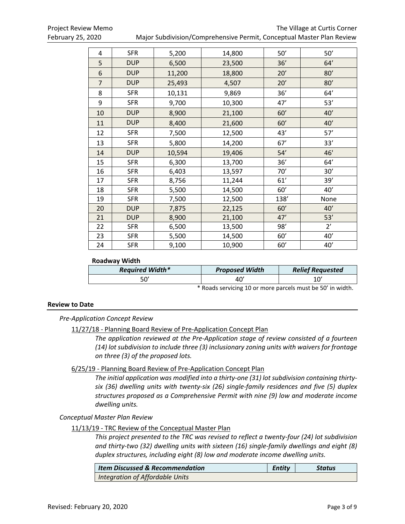Project Review Memo **The Village at Curtis Corner** Corner February 25, 2020 Major Subdivision/Comprehensive Permit, Conceptual Master Plan Review

| 4              | <b>SFR</b> | 5,200  | 14,800 | 50'  | 50'          |
|----------------|------------|--------|--------|------|--------------|
| 5              | <b>DUP</b> | 6,500  | 23,500 | 36'  | 64'          |
| 6              | <b>DUP</b> | 11,200 | 18,800 | 20'  | 80'          |
| $\overline{7}$ | <b>DUP</b> | 25,493 | 4,507  | 20'  | 80'          |
| 8              | <b>SFR</b> | 10,131 | 9,869  | 36'  | 64'          |
| 9              | <b>SFR</b> | 9,700  | 10,300 | 47'  | 53'          |
| 10             | <b>DUP</b> | 8,900  | 21,100 | 60'  | 40'          |
| 11             | <b>DUP</b> | 8,400  | 21,600 | 60'  | 40'          |
| 12             | <b>SFR</b> | 7,500  | 12,500 | 43'  | 57'          |
| 13             | <b>SFR</b> | 5,800  | 14,200 | 67'  | 33'          |
| 14             | <b>DUP</b> | 10,594 | 19,406 | 54'  | 46'          |
| 15             | <b>SFR</b> | 6,300  | 13,700 | 36'  | 64'          |
| 16             | <b>SFR</b> | 6,403  | 13,597 | 70'  | 30'          |
| 17             | <b>SFR</b> | 8,756  | 11,244 | 61'  | 39'          |
| 18             | <b>SFR</b> | 5,500  | 14,500 | 60'  | 40'          |
| 19             | <b>SFR</b> | 7,500  | 12,500 | 138' | None         |
| 20             | <b>DUP</b> | 7,875  | 22,125 | 60'  | 40'          |
| 21             | <b>DUP</b> | 8,900  | 21,100 | 47'  | 53'          |
| 22             | <b>SFR</b> | 6,500  | 13,500 | 98'  | $2^{\prime}$ |
| 23             | <b>SFR</b> | 5,500  | 14,500 | 60'  | 40'          |
| 24             | <b>SFR</b> | 9,100  | 10,900 | 60'  | 40'          |

#### **Roadway Width**

| <b>Required Width*</b> | <b>Proposed Width</b> | <b>Relief Requested</b> |
|------------------------|-----------------------|-------------------------|
| יה-                    |                       | 10,                     |

\* Roads servicing 10 or more parcels must be 50' in width.

#### **Review to Date**

#### *Pre-Application Concept Review*

11/27/18 - Planning Board Review of Pre-Application Concept Plan

*The application reviewed at the Pre-Application stage of review consisted of a fourteen (14) lot subdivision to include three (3) inclusionary zoning units with waivers for frontage on three (3) of the proposed lots.*

#### 6/25/19 - Planning Board Review of Pre-Application Concept Plan

*The initial application was modified into a thirty-one (31) lot subdivision containing thirtysix (36) dwelling units with twenty-six (26) single-family residences and five (5) duplex structures proposed as a Comprehensive Permit with nine (9) low and moderate income dwelling units.*

#### *Conceptual Master Plan Review*

## 11/13/19 - TRC Review of the Conceptual Master Plan

*This project presented to the TRC was revised to reflect a twenty-four (24) lot subdivision and thirty-two (32) dwelling units with sixteen (16) single-family dwellings and eight (8) duplex structures, including eight (8) low and moderate income dwelling units.*

| <b>Item Discussed &amp; Recommendation</b> | Entity | Status |
|--------------------------------------------|--------|--------|
| Integration of Affordable Units            |        |        |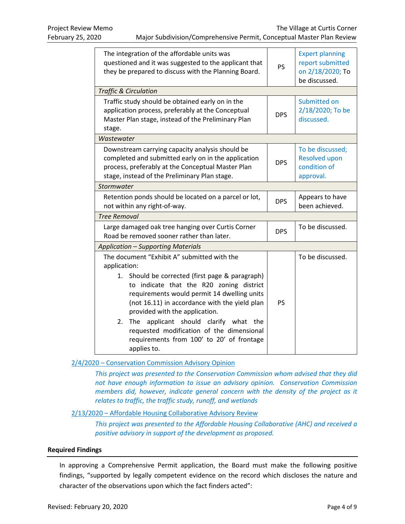| The integration of the affordable units was<br>questioned and it was suggested to the applicant that<br>they be prepared to discuss with the Planning Board.                                                                                                                                                                                                                                                                                                   | <b>PS</b>  | <b>Expert planning</b><br>report submitted<br>on 2/18/2020; To<br>be discussed. |
|----------------------------------------------------------------------------------------------------------------------------------------------------------------------------------------------------------------------------------------------------------------------------------------------------------------------------------------------------------------------------------------------------------------------------------------------------------------|------------|---------------------------------------------------------------------------------|
| <b>Traffic &amp; Circulation</b>                                                                                                                                                                                                                                                                                                                                                                                                                               |            |                                                                                 |
| Traffic study should be obtained early on in the<br>application process, preferably at the Conceptual<br>Master Plan stage, instead of the Preliminary Plan<br>stage.                                                                                                                                                                                                                                                                                          | <b>DPS</b> | Submitted on<br>2/18/2020; To be<br>discussed.                                  |
| Wastewater                                                                                                                                                                                                                                                                                                                                                                                                                                                     |            |                                                                                 |
| Downstream carrying capacity analysis should be<br>completed and submitted early on in the application<br>process, preferably at the Conceptual Master Plan<br>stage, instead of the Preliminary Plan stage.                                                                                                                                                                                                                                                   | <b>DPS</b> | To be discussed;<br><b>Resolved upon</b><br>condition of<br>approval.           |
| Stormwater                                                                                                                                                                                                                                                                                                                                                                                                                                                     |            |                                                                                 |
| Retention ponds should be located on a parcel or lot,<br>not within any right-of-way.                                                                                                                                                                                                                                                                                                                                                                          | <b>DPS</b> | Appears to have<br>been achieved.                                               |
| <b>Tree Removal</b>                                                                                                                                                                                                                                                                                                                                                                                                                                            |            |                                                                                 |
| Large damaged oak tree hanging over Curtis Corner<br>Road be removed sooner rather than later.                                                                                                                                                                                                                                                                                                                                                                 | <b>DPS</b> | To be discussed.                                                                |
| <b>Application - Supporting Materials</b>                                                                                                                                                                                                                                                                                                                                                                                                                      |            |                                                                                 |
| The document "Exhibit A" submitted with the<br>application:<br>1. Should be corrected (first page & paragraph)<br>to indicate that the R20 zoning district<br>requirements would permit 14 dwelling units<br>(not 16.11) in accordance with the yield plan<br>provided with the application.<br>applicant should clarify what the<br>2.<br><b>The</b><br>requested modification of the dimensional<br>requirements from 100' to 20' of frontage<br>applies to. | <b>PS</b>  | To be discussed.                                                                |

## 2/4/2020 – Conservation Commission Advisory Opinion

*This project was presented to the Conservation Commission whom advised that they did not have enough information to issue an advisory opinion. Conservation Commission members did, however, indicate general concern with the density of the project as it relates to traffic, the traffic study, runoff, and wetlands*

#### 2/13/2020 – Affordable Housing Collaborative Advisory Review

*This project was presented to the Affordable Housing Collaborative (AHC) and received a positive advisory in support of the development as proposed.*

#### **Required Findings**

In approving a Comprehensive Permit application, the Board must make the following positive findings, "supported by legally competent evidence on the record which discloses the nature and character of the observations upon which the fact finders acted":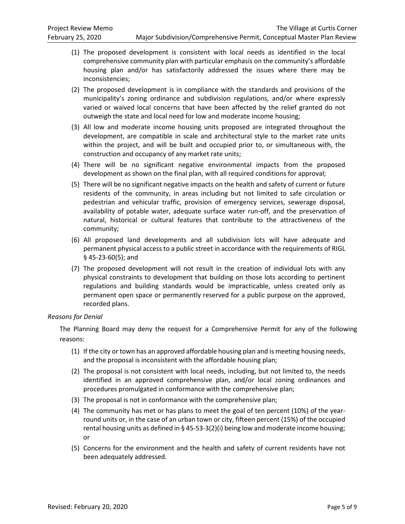- (1) The proposed development is consistent with local needs as identified in the local comprehensive community plan with particular emphasis on the community's affordable housing plan and/or has satisfactorily addressed the issues where there may be inconsistencies;
- (2) The proposed development is in compliance with the standards and provisions of the municipality's zoning ordinance and subdivision regulations, and/or where expressly varied or waived local concerns that have been affected by the relief granted do not outweigh the state and local need for low and moderate income housing;
- (3) All low and moderate income housing units proposed are integrated throughout the development, are compatible in scale and architectural style to the market rate units within the project, and will be built and occupied prior to, or simultaneous with, the construction and occupancy of any market rate units;
- (4) There will be no significant negative environmental impacts from the proposed development as shown on the final plan, with all required conditions for approval;
- (5) There will be no significant negative impacts on the health and safety of current or future residents of the community, in areas including but not limited to safe circulation or pedestrian and vehicular traffic, provision of emergency services, sewerage disposal, availability of potable water, adequate surface water run-off, and the preservation of natural, historical or cultural features that contribute to the attractiveness of the community;
- (6) All proposed land developments and all subdivision lots will have adequate and permanent physical access to a public street in accordance with the requirements of RIGL § 45-23-60(5); and
- (7) The proposed development will not result in the creation of individual lots with any physical constraints to development that building on those lots according to pertinent regulations and building standards would be impracticable, unless created only as permanent open space or permanently reserved for a public purpose on the approved, recorded plans.

## *Reasons for Denial*

The Planning Board may deny the request for a Comprehensive Permit for any of the following reasons:

- (1) If the city or town has an approved affordable housing plan and is meeting housing needs, and the proposal is inconsistent with the affordable housing plan;
- (2) The proposal is not consistent with local needs, including, but not limited to, the needs identified in an approved comprehensive plan, and/or local zoning ordinances and procedures promulgated in conformance with the comprehensive plan;
- (3) The proposal is not in conformance with the comprehensive plan;
- (4) The community has met or has plans to meet the goal of ten percent (10%) of the yearround units or, in the case of an urban town or city, fifteen percent (15%) of the occupied rental housing units as defined in § 45-53-3(2)(i) being low and moderate income housing; or
- (5) Concerns for the environment and the health and safety of current residents have not been adequately addressed.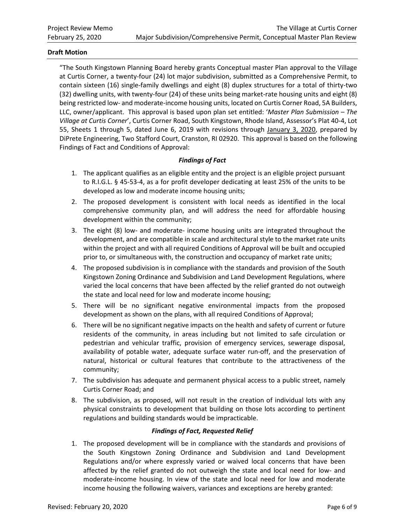#### **Draft Motion**

"The South Kingstown Planning Board hereby grants Conceptual master Plan approval to the Village at Curtis Corner, a twenty-four (24) lot major subdivision, submitted as a Comprehensive Permit, to contain sixteen (16) single-family dwellings and eight (8) duplex structures for a total of thirty-two (32) dwelling units, with twenty-four (24) of these units being market-rate housing units and eight (8) being restricted low- and moderate-income housing units, located on Curtis Corner Road, 5A Builders, LLC, owner/applicant. This approval is based upon plan set entitled: '*Master Plan Submission – The Village at Curtis Corner*', Curtis Corner Road, South Kingstown, Rhode Island, Assessor's Plat 40-4, Lot 55, Sheets 1 through 5, dated June 6, 2019 with revisions through January 3, 2020, prepared by DiPrete Engineering, Two Stafford Court, Cranston, RI 02920. This approval is based on the following Findings of Fact and Conditions of Approval:

## *Findings of Fact*

- 1. The applicant qualifies as an eligible entity and the project is an eligible project pursuant to R.I.G.L. § 45-53-4, as a for profit developer dedicating at least 25% of the units to be developed as low and moderate income housing units;
- 2. The proposed development is consistent with local needs as identified in the local comprehensive community plan, and will address the need for affordable housing development within the community;
- 3. The eight (8) low- and moderate- income housing units are integrated throughout the development, and are compatible in scale and architectural style to the market rate units within the project and with all required Conditions of Approval will be built and occupied prior to, or simultaneous with, the construction and occupancy of market rate units;
- 4. The proposed subdivision is in compliance with the standards and provision of the South Kingstown Zoning Ordinance and Subdivision and Land Development Regulations, where varied the local concerns that have been affected by the relief granted do not outweigh the state and local need for low and moderate income housing;
- 5. There will be no significant negative environmental impacts from the proposed development as shown on the plans, with all required Conditions of Approval;
- 6. There will be no significant negative impacts on the health and safety of current or future residents of the community, in areas including but not limited to safe circulation or pedestrian and vehicular traffic, provision of emergency services, sewerage disposal, availability of potable water, adequate surface water run-off, and the preservation of natural, historical or cultural features that contribute to the attractiveness of the community;
- 7. The subdivision has adequate and permanent physical access to a public street, namely Curtis Corner Road; and
- 8. The subdivision, as proposed, will not result in the creation of individual lots with any physical constraints to development that building on those lots according to pertinent regulations and building standards would be impracticable.

#### *Findings of Fact, Requested Relief*

1. The proposed development will be in compliance with the standards and provisions of the South Kingstown Zoning Ordinance and Subdivision and Land Development Regulations and/or where expressly varied or waived local concerns that have been affected by the relief granted do not outweigh the state and local need for low- and moderate-income housing. In view of the state and local need for low and moderate income housing the following waivers, variances and exceptions are hereby granted: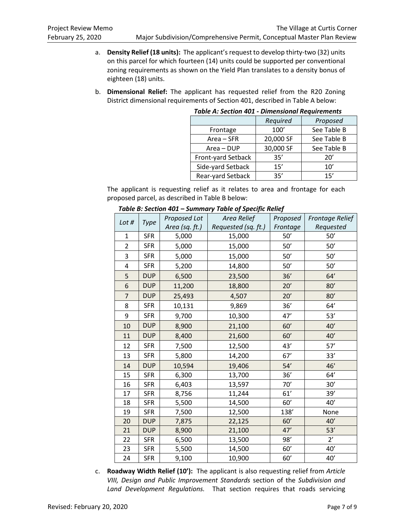- a. **Density Relief (18 units):** The applicant's request to develop thirty-two (32) units on this parcel for which fourteen (14) units could be supported per conventional zoning requirements as shown on the Yield Plan translates to a density bonus of eighteen (18) units.
- b. **Dimensional Relief:** The applicant has requested relief from the R20 Zoning District dimensional requirements of Section 401, described in Table A below:

|                    | Required  | Proposed    |
|--------------------|-----------|-------------|
| Frontage           | 100'      | See Table B |
| Area – SFR         | 20,000 SF | See Table B |
| Area - DUP         | 30,000 SF | See Table B |
| Front-yard Setback | 35'       | 20'         |
| Side-yard Setback  | 15'       | 10'         |
| Rear-yard Setback  | 35'       | 15'         |

#### *Table A: Section 401 - Dimensional Requirements*

The applicant is requesting relief as it relates to area and frontage for each proposed parcel, as described in Table B below:

| Lot #          | <b>Type</b> | Proposed Lot   | Area Relief         | Proposed | <b>Frontage Relief</b> |
|----------------|-------------|----------------|---------------------|----------|------------------------|
|                |             | Area (sq. ft.) | Requested (sq. ft.) | Frontage | Requested              |
| 1              | <b>SFR</b>  | 5,000          | 15,000              | 50'      | 50'                    |
| $\overline{2}$ | <b>SFR</b>  | 5,000          | 15,000              | 50'      | 50'                    |
| 3              | <b>SFR</b>  | 5,000          | 15,000              | 50'      | 50'                    |
| 4              | <b>SFR</b>  | 5,200          | 14,800              | 50'      | $50'$                  |
| 5              | <b>DUP</b>  | 6,500          | 23,500              | 36'      | 64'                    |
| 6              | <b>DUP</b>  | 11,200         | 18,800              | 20'      | 80'                    |
| $\overline{7}$ | <b>DUP</b>  | 25,493         | 4,507               | 20'      | 80'                    |
| 8              | <b>SFR</b>  | 10,131         | 9,869               | 36'      | 64'                    |
| 9              | <b>SFR</b>  | 9,700          | 10,300              | 47'      | 53'                    |
| 10             | <b>DUP</b>  | 8,900          | 21,100              | 60'      | 40'                    |
| 11             | <b>DUP</b>  | 8,400          | 21,600              | 60'      | 40'                    |
| 12             | <b>SFR</b>  | 7,500          | 12,500              | 43'      | 57'                    |
| 13             | <b>SFR</b>  | 5,800          | 14,200              | 67'      | 33'                    |
| 14             | <b>DUP</b>  | 10,594         | 19,406              | 54'      | 46'                    |
| 15             | <b>SFR</b>  | 6,300          | 13,700              | 36'      | 64'                    |
| 16             | <b>SFR</b>  | 6,403          | 13,597              | 70'      | 30'                    |
| 17             | <b>SFR</b>  | 8,756          | 11,244              | 61'      | 39'                    |
| 18             | <b>SFR</b>  | 5,500          | 14,500              | 60'      | 40'                    |
| 19             | <b>SFR</b>  | 7,500          | 12,500              | 138'     | None                   |
| 20             | <b>DUP</b>  | 7,875          | 22,125              | 60'      | 40'                    |
| 21             | <b>DUP</b>  | 8,900          | 21,100              | 47'      | 53'                    |
| 22             | <b>SFR</b>  | 6,500          | 13,500              | 98'      | $2^{\prime}$           |
| 23             | <b>SFR</b>  | 5,500          | 14,500              | 60'      | $40'$                  |
| 24             | <b>SFR</b>  | 9,100          | 10,900              | 60'      | 40'                    |

#### *Table B: Section 401 – Summary Table of Specific Relief*

c. **Roadway Width Relief (10'):** The applicant is also requesting relief from *Article VIII, Design and Public Improvement Standards* section of the *Subdivision and Land Development Regulations.* That section requires that roads servicing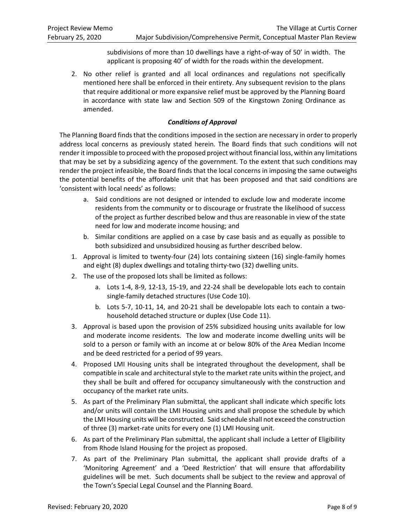subdivisions of more than 10 dwellings have a right-of-way of 50' in width. The applicant is proposing 40' of width for the roads within the development.

2. No other relief is granted and all local ordinances and regulations not specifically mentioned here shall be enforced in their entirety. Any subsequent revision to the plans that require additional or more expansive relief must be approved by the Planning Board in accordance with state law and Section 509 of the Kingstown Zoning Ordinance as amended.

## *Conditions of Approval*

The Planning Board finds that the conditions imposed in the section are necessary in order to properly address local concerns as previously stated herein. The Board finds that such conditions will not render it impossible to proceed with the proposed project without financial loss, within any limitations that may be set by a subsidizing agency of the government. To the extent that such conditions may render the project infeasible, the Board finds that the local concerns in imposing the same outweighs the potential benefits of the affordable unit that has been proposed and that said conditions are 'consistent with local needs' as follows:

- a. Said conditions are not designed or intended to exclude low and moderate income residents from the community or to discourage or frustrate the likelihood of success of the project as further described below and thus are reasonable in view of the state need for low and moderate income housing; and
- b. Similar conditions are applied on a case by case basis and as equally as possible to both subsidized and unsubsidized housing as further described below.
- 1. Approval is limited to twenty-four (24) lots containing sixteen (16) single-family homes and eight (8) duplex dwellings and totaling thirty-two (32) dwelling units.
- 2. The use of the proposed lots shall be limited as follows:
	- a. Lots 1-4, 8-9, 12-13, 15-19, and 22-24 shall be developable lots each to contain single-family detached structures (Use Code 10).
	- b. Lots 5-7, 10-11, 14, and 20-21 shall be developable lots each to contain a twohousehold detached structure or duplex (Use Code 11).
- 3. Approval is based upon the provision of 25% subsidized housing units available for low and moderate income residents. The low and moderate income dwelling units will be sold to a person or family with an income at or below 80% of the Area Median Income and be deed restricted for a period of 99 years.
- 4. Proposed LMI Housing units shall be integrated throughout the development, shall be compatible in scale and architectural style to the market rate units within the project, and they shall be built and offered for occupancy simultaneously with the construction and occupancy of the market rate units.
- 5. As part of the Preliminary Plan submittal, the applicant shall indicate which specific lots and/or units will contain the LMI Housing units and shall propose the schedule by which the LMI Housing units will be constructed. Said schedule shall not exceed the construction of three (3) market-rate units for every one (1) LMI Housing unit.
- 6. As part of the Preliminary Plan submittal, the applicant shall include a Letter of Eligibility from Rhode Island Housing for the project as proposed.
- 7. As part of the Preliminary Plan submittal, the applicant shall provide drafts of a 'Monitoring Agreement' and a 'Deed Restriction' that will ensure that affordability guidelines will be met. Such documents shall be subject to the review and approval of the Town's Special Legal Counsel and the Planning Board.